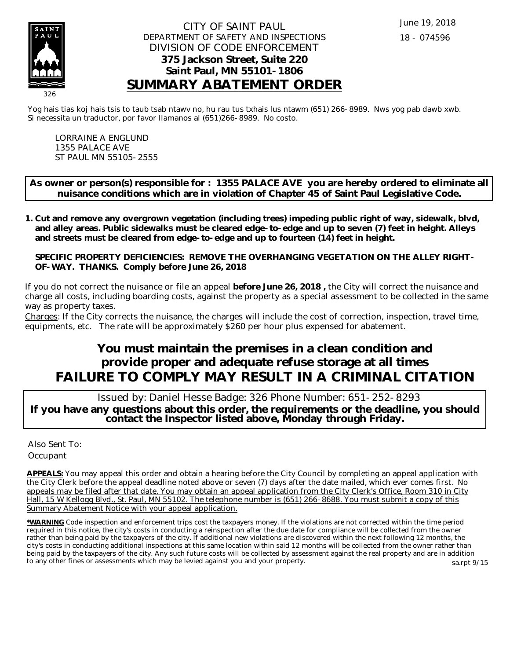

## CITY OF SAINT PAUL DEPARTMENT OF SAFETY AND INSPECTIONS DIVISION OF CODE ENFORCEMENT **375 Jackson Street, Suite 220 Saint Paul, MN 55101-1806 SUMMARY ABATEMENT ORDER**

Yog hais tias koj hais tsis to taub tsab ntawv no, hu rau tus txhais lus ntawm (651) 266-8989. Nws yog pab dawb xwb. Si necessita un traductor, por favor llamanos al (651)266-8989. No costo.

LORRAINE A ENGLUND 1355 PALACE AVE ST PAUL MN 55105-2555

**As owner or person(s) responsible for : 1355 PALACE AVE you are hereby ordered to eliminate all nuisance conditions which are in violation of Chapter 45 of Saint Paul Legislative Code.**

**Cut and remove any overgrown vegetation (including trees) impeding public right of way, sidewalk, blvd, 1. and alley areas. Public sidewalks must be cleared edge-to-edge and up to seven (7) feet in height. Alleys and streets must be cleared from edge-to-edge and up to fourteen (14) feet in height.** 

**SPECIFIC PROPERTY DEFICIENCIES: REMOVE THE OVERHANGING VEGETATION ON THE ALLEY RIGHT-OF-WAY. THANKS. Comply before June 26, 2018**

If you do not correct the nuisance or file an appeal **before June 26, 2018 ,** the City will correct the nuisance and charge all costs, including boarding costs, against the property as a special assessment to be collected in the same way as property taxes.

Charges: If the City corrects the nuisance, the charges will include the cost of correction, inspection, travel time, equipments, etc. The rate will be approximately \$260 per hour plus expensed for abatement.

## **You must maintain the premises in a clean condition and provide proper and adequate refuse storage at all times FAILURE TO COMPLY MAY RESULT IN A CRIMINAL CITATION**

 Issued by: Daniel Hesse Badge: 326 Phone Number: 651-252-8293 **If you have any questions about this order, the requirements or the deadline, you should contact the Inspector listed above, Monday through Friday.**

Also Sent To: **Occupant** 

**APPEALS:** You may appeal this order and obtain a hearing before the City Council by completing an appeal application with the City Clerk before the appeal deadline noted above or seven (7) days after the date mailed, which ever comes first. No appeals may be filed after that date. You may obtain an appeal application from the City Clerk's Office, Room 310 in City Hall, 15 W Kellogg Blvd., St. Paul, MN 55102. The telephone number is (651) 266-8688. You must submit a copy of this Summary Abatement Notice with your appeal application.

**\*WARNING** Code inspection and enforcement trips cost the taxpayers money. If the violations are not corrected within the time period required in this notice, the city's costs in conducting a reinspection after the due date for compliance will be collected from the owner rather than being paid by the taxpayers of the city. If additional new violations are discovered within the next following 12 months, the city's costs in conducting additional inspections at this same location within said 12 months will be collected from the owner rather than being paid by the taxpayers of the city. Any such future costs will be collected by assessment against the real property and are in addition to any other fines or assessments which may be levied against you and your property. sa.rpt 9/15